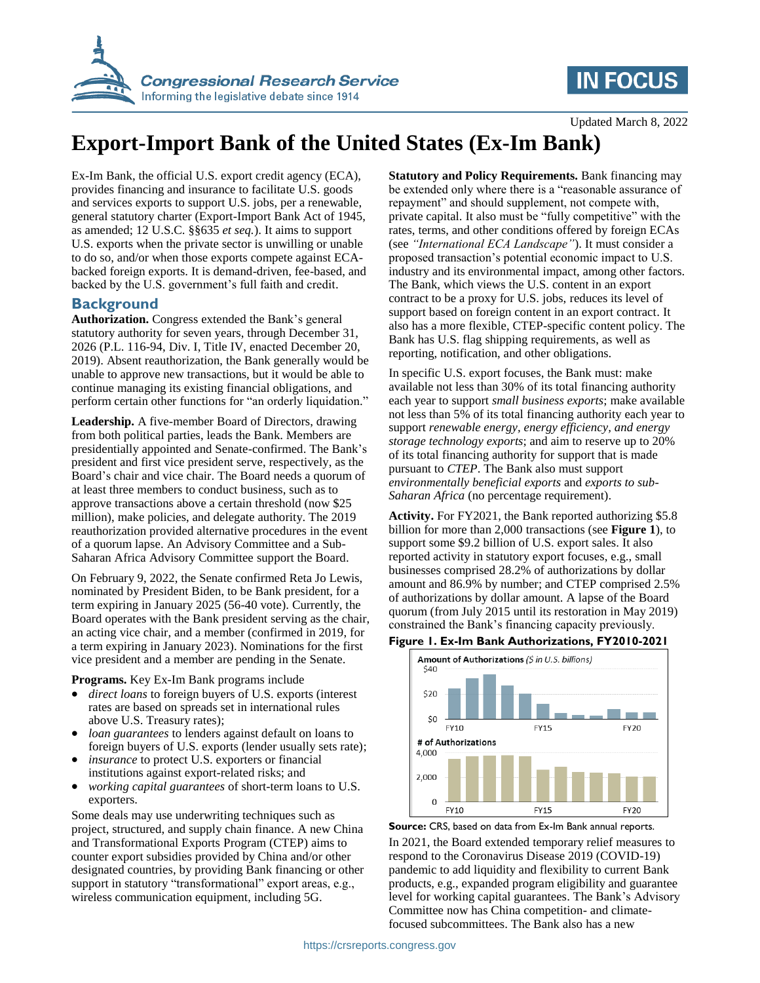

# **IN FOCUS**

Updated March 8, 2022

# **Export-Import Bank of the United States (Ex-Im Bank)**

Ex-Im Bank, the official U.S. export credit agency (ECA), provides financing and insurance to facilitate U.S. goods and services exports to support U.S. jobs, per a renewable, general statutory charter (Export-Import Bank Act of 1945, as amended; 12 U.S.C. §§635 *et seq.*). It aims to support U.S. exports when the private sector is unwilling or unable to do so, and/or when those exports compete against ECAbacked foreign exports. It is demand-driven, fee-based, and backed by the U.S. government's full faith and credit.

### **Background**

**Authorization.** Congress extended the Bank's general statutory authority for seven years, through December 31, 2026 (P.L. 116-94, Div. I, Title IV, enacted December 20, 2019). Absent reauthorization, the Bank generally would be unable to approve new transactions, but it would be able to continue managing its existing financial obligations, and perform certain other functions for "an orderly liquidation."

**Leadership.** A five-member Board of Directors, drawing from both political parties, leads the Bank. Members are presidentially appointed and Senate-confirmed. The Bank's president and first vice president serve, respectively, as the Board's chair and vice chair. The Board needs a quorum of at least three members to conduct business, such as to approve transactions above a certain threshold (now \$25 million), make policies, and delegate authority. The 2019 reauthorization provided alternative procedures in the event of a quorum lapse. An Advisory Committee and a Sub-Saharan Africa Advisory Committee support the Board.

On February 9, 2022, the Senate confirmed Reta Jo Lewis, nominated by President Biden, to be Bank president, for a term expiring in January 2025 (56-40 vote). Currently, the Board operates with the Bank president serving as the chair, an acting vice chair, and a member (confirmed in 2019, for a term expiring in January 2023). Nominations for the first vice president and a member are pending in the Senate.

**Programs.** Key Ex-Im Bank programs include

- *direct loans* to foreign buyers of U.S. exports (interest rates are based on spreads set in international rules above U.S. Treasury rates);
- *loan guarantees* to lenders against default on loans to foreign buyers of U.S. exports (lender usually sets rate);
- *insurance* to protect U.S. exporters or financial institutions against export-related risks; and
- *working capital guarantees* of short-term loans to U.S. exporters.

Some deals may use underwriting techniques such as project, structured, and supply chain finance. A new China and Transformational Exports Program (CTEP) aims to counter export subsidies provided by China and/or other designated countries, by providing Bank financing or other support in statutory "transformational" export areas, e.g., wireless communication equipment, including 5G.

**Statutory and Policy Requirements.** Bank financing may be extended only where there is a "reasonable assurance of repayment" and should supplement, not compete with, private capital. It also must be "fully competitive" with the rates, terms, and other conditions offered by foreign ECAs (see *"International ECA Landscape"*). It must consider a proposed transaction's potential economic impact to U.S. industry and its environmental impact, among other factors. The Bank, which views the U.S. content in an export contract to be a proxy for U.S. jobs, reduces its level of support based on foreign content in an export contract. It also has a more flexible, CTEP-specific content policy. The Bank has U.S. flag shipping requirements, as well as reporting, notification, and other obligations.

In specific U.S. export focuses, the Bank must: make available not less than 30% of its total financing authority each year to support *small business exports*; make available not less than 5% of its total financing authority each year to support *renewable energy, energy efficiency, and energy storage technology exports*; and aim to reserve up to 20% of its total financing authority for support that is made pursuant to *CTEP*. The Bank also must support *environmentally beneficial exports* and *exports to sub-Saharan Africa* (no percentage requirement).

**Activity.** For FY2021, the Bank reported authorizing \$5.8 billion for more than 2,000 transactions (see **[Figure 1](#page-0-0)**), to support some \$9.2 billion of U.S. export sales. It also reported activity in statutory export focuses, e.g., small businesses comprised 28.2% of authorizations by dollar amount and 86.9% by number; and CTEP comprised 2.5% of authorizations by dollar amount. A lapse of the Board quorum (from July 2015 until its restoration in May 2019) constrained the Bank's financing capacity previously.

#### <span id="page-0-0"></span>**Figure 1. Ex-Im Bank Authorizations, FY2010-2021**



**Source:** CRS, based on data from Ex-Im Bank annual reports. In 2021, the Board extended temporary relief measures to respond to the Coronavirus Disease 2019 (COVID-19) pandemic to add liquidity and flexibility to current Bank products, e.g., expanded program eligibility and guarantee level for working capital guarantees. The Bank's Advisory Committee now has China competition- and climatefocused subcommittees. The Bank also has a new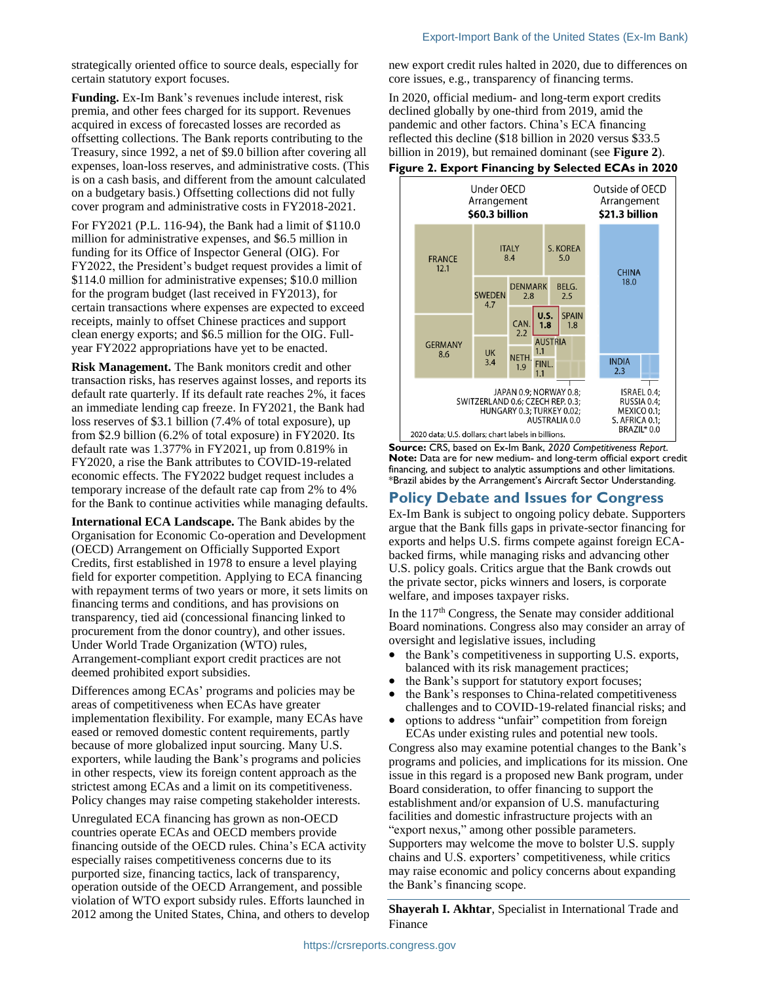strategically oriented office to source deals, especially for certain statutory export focuses.

**Funding.** Ex-Im Bank's revenues include interest, risk premia, and other fees charged for its support. Revenues acquired in excess of forecasted losses are recorded as offsetting collections. The Bank reports contributing to the Treasury, since 1992, a net of \$9.0 billion after covering all expenses, loan-loss reserves, and administrative costs. (This is on a cash basis, and different from the amount calculated on a budgetary basis.) Offsetting collections did not fully cover program and administrative costs in FY2018-2021.

For FY2021 (P.L. 116-94), the Bank had a limit of \$110.0 million for administrative expenses, and \$6.5 million in funding for its Office of Inspector General (OIG). For FY2022, the President's budget request provides a limit of \$114.0 million for administrative expenses; \$10.0 million for the program budget (last received in FY2013), for certain transactions where expenses are expected to exceed receipts, mainly to offset Chinese practices and support clean energy exports; and \$6.5 million for the OIG. Fullyear FY2022 appropriations have yet to be enacted.

**Risk Management.** The Bank monitors credit and other transaction risks, has reserves against losses, and reports its default rate quarterly. If its default rate reaches 2%, it faces an immediate lending cap freeze. In FY2021, the Bank had loss reserves of \$3.1 billion (7.4% of total exposure), up from \$2.9 billion (6.2% of total exposure) in FY2020. Its default rate was 1.377% in FY2021, up from 0.819% in FY2020, a rise the Bank attributes to COVID-19-related economic effects. The FY2022 budget request includes a temporary increase of the default rate cap from 2% to 4% for the Bank to continue activities while managing defaults.

**International ECA Landscape.** The Bank abides by the Organisation for Economic Co-operation and Development (OECD) Arrangement on Officially Supported Export Credits, first established in 1978 to ensure a level playing field for exporter competition. Applying to ECA financing with repayment terms of two years or more, it sets limits on financing terms and conditions, and has provisions on transparency, tied aid (concessional financing linked to procurement from the donor country), and other issues. Under World Trade Organization (WTO) rules, Arrangement-compliant export credit practices are not deemed prohibited export subsidies.

Differences among ECAs' programs and policies may be areas of competitiveness when ECAs have greater implementation flexibility. For example, many ECAs have eased or removed domestic content requirements, partly because of more globalized input sourcing. Many U.S. exporters, while lauding the Bank's programs and policies in other respects, view its foreign content approach as the strictest among ECAs and a limit on its competitiveness. Policy changes may raise competing stakeholder interests.

Unregulated ECA financing has grown as non-OECD countries operate ECAs and OECD members provide financing outside of the OECD rules. China's ECA activity especially raises competitiveness concerns due to its purported size, financing tactics, lack of transparency, operation outside of the OECD Arrangement, and possible violation of WTO export subsidy rules. Efforts launched in 2012 among the United States, China, and others to develop new export credit rules halted in 2020, due to differences on core issues, e.g., transparency of financing terms.

In 2020, official medium- and long-term export credits declined globally by one-third from 2019, amid the pandemic and other factors. China's ECA financing reflected this decline (\$18 billion in 2020 versus \$33.5 billion in 2019), but remained dominant (see **Figure 2**).

#### **Figure 2. Export Financing by Selected ECAs in 2020**



**Source:** CRS, based on Ex-Im Bank, *2020 Competitiveness Report*. **Note:** Data are for new medium- and long-term official export credit financing, and subject to analytic assumptions and other limitations. \*Brazil abides by the Arrangement's Aircraft Sector Understanding.

### **Policy Debate and Issues for Congress**

Ex-Im Bank is subject to ongoing policy debate. Supporters argue that the Bank fills gaps in private-sector financing for exports and helps U.S. firms compete against foreign ECAbacked firms, while managing risks and advancing other U.S. policy goals. Critics argue that the Bank crowds out the private sector, picks winners and losers, is corporate welfare, and imposes taxpayer risks.

In the  $117<sup>th</sup>$  Congress, the Senate may consider additional Board nominations. Congress also may consider an array of oversight and legislative issues, including

- the Bank's competitiveness in supporting U.S. exports, balanced with its risk management practices;
- the Bank's support for statutory export focuses;
- the Bank's responses to China-related competitiveness challenges and to COVID-19-related financial risks; and
- options to address "unfair" competition from foreign ECAs under existing rules and potential new tools.

Congress also may examine potential changes to the Bank's programs and policies, and implications for its mission. One issue in this regard is a proposed new Bank program, under Board consideration, to offer financing to support the establishment and/or expansion of U.S. manufacturing facilities and domestic infrastructure projects with an "export nexus," among other possible parameters. Supporters may welcome the move to bolster U.S. supply chains and U.S. exporters' competitiveness, while critics may raise economic and policy concerns about expanding the Bank's financing scope.

**Shayerah I. Akhtar**, Specialist in International Trade and Finance